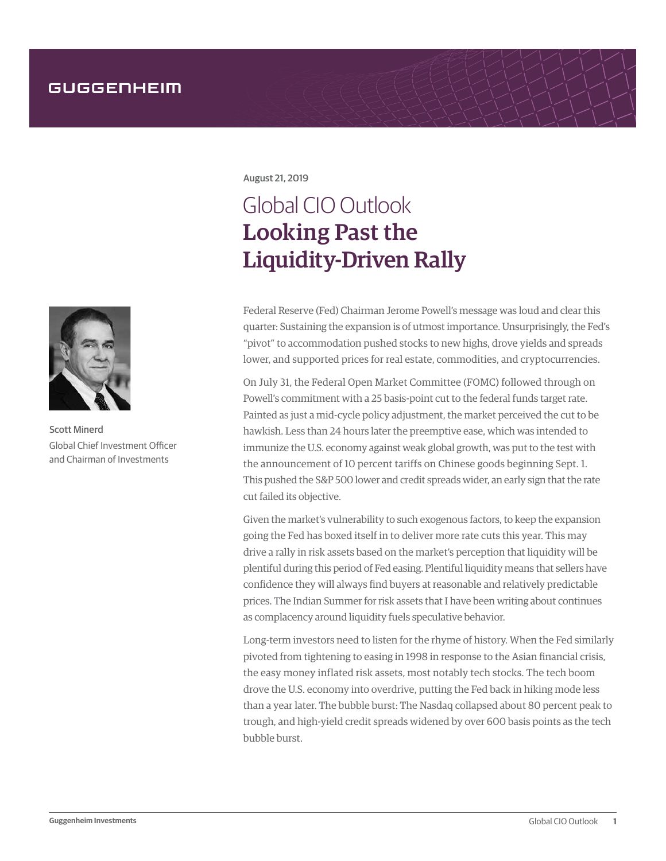

Scott Minerd Global Chief Investment Officer and Chairman of Investments

August 21, 2019

## Global CIO Outlook Looking Past the Liquidity-Driven Rally

Federal Reserve (Fed) Chairman Jerome Powell's message was loud and clear this quarter: Sustaining the expansion is of utmost importance. Unsurprisingly, the Fed's "pivot" to accommodation pushed stocks to new highs, drove yields and spreads lower, and supported prices for real estate, commodities, and cryptocurrencies.

On July 31, the Federal Open Market Committee (FOMC) followed through on Powell's commitment with a 25 basis-point cut to the federal funds target rate. Painted as just a mid-cycle policy adjustment, the market perceived the cut to be hawkish. Less than 24 hours later the preemptive ease, which was intended to immunize the U.S. economy against weak global growth, was put to the test with the announcement of 10 percent tariffs on Chinese goods beginning Sept. 1. This pushed the S&P 500 lower and credit spreads wider, an early sign that the rate cut failed its objective.

Given the market's vulnerability to such exogenous factors, to keep the expansion going the Fed has boxed itself in to deliver more rate cuts this year. This may drive a rally in risk assets based on the market's perception that liquidity will be plentiful during this period of Fed easing. Plentiful liquidity means that sellers have confidence they will always find buyers at reasonable and relatively predictable prices. The Indian Summer for risk assets that I have been writing about continues as complacency around liquidity fuels speculative behavior.

Long-term investors need to listen for the rhyme of history. When the Fed similarly pivoted from tightening to easing in 1998 in response to the Asian financial crisis, the easy money inflated risk assets, most notably tech stocks. The tech boom drove the U.S. economy into overdrive, putting the Fed back in hiking mode less than a year later. The bubble burst: The Nasdaq collapsed about 80 percent peak to trough, and high-yield credit spreads widened by over 600 basis points as the tech bubble burst.